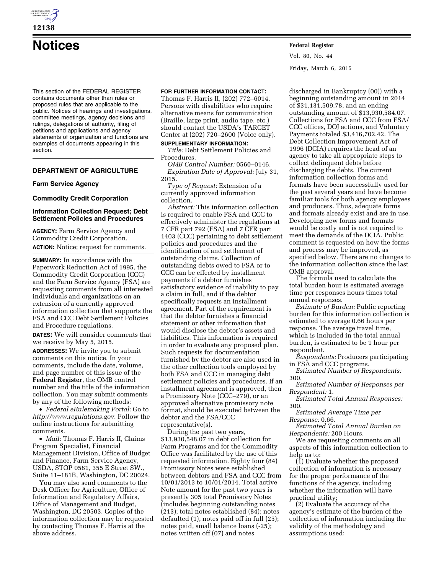

# **Notices Federal Register**

This section of the FEDERAL REGISTER contains documents other than rules or proposed rules that are applicable to the public. Notices of hearings and investigations, committee meetings, agency decisions and rulings, delegations of authority, filing of petitions and applications and agency statements of organization and functions are examples of documents appearing in this section.

# **DEPARTMENT OF AGRICULTURE**

## **Farm Service Agency**

## **Commodity Credit Corporation**

# **Information Collection Request; Debt Settlement Policies and Procedures**

**AGENCY:** Farm Service Agency and Commodity Credit Corporation.

**ACTION:** Notice; request for comments.

**SUMMARY:** In accordance with the Paperwork Reduction Act of 1995, the Commodity Credit Corporation (CCC) and the Farm Service Agency (FSA) are requesting comments from all interested individuals and organizations on an extension of a currently approved information collection that supports the FSA and CCC Debt Settlement Policies and Procedure regulations.

**DATES:** We will consider comments that we receive by May 5, 2015.

**ADDRESSES:** We invite you to submit comments on this notice. In your comments, include the date, volume, and page number of this issue of the **Federal Register**, the OMB control number and the title of the information collection. You may submit comments by any of the following methods:

• *Federal eRulemaking Portal:* Go to *<http://www.regulations.gov>*. Follow the online instructions for submitting comments.

• *Mail:* Thomas F. Harris II, Claims Program Specialist, Financial Management Division, Office of Budget and Finance, Farm Service Agency, USDA, STOP 0581, 355 E Street SW., Suite 11–181B, Washington, DC 20024.

You may also send comments to the Desk Officer for Agriculture, Office of Information and Regulatory Affairs, Office of Management and Budget, Washington, DC 20503. Copies of the information collection may be requested by contacting Thomas F. Harris at the above address.

## **FOR FURTHER INFORMATION CONTACT:**

Thomas F. Harris II, (202) 772–6014. Persons with disabilities who require alternative means for communication (Braille, large print, audio tape, etc.) should contact the USDA's TARGET Center at (202) 720–2600 (Voice only).

## **SUPPLEMENTARY INFORMATION:**

*Title:* Debt Settlement Policies and Procedures.

*OMB Control Number:* 0560–0146. *Expiration Date of Approval:* July 31, 2015.

*Type of Request:* Extension of a currently approved information collection.

*Abstract:* This information collection is required to enable FSA and CCC to effectively administer the regulations at 7 CFR part 792 (FSA) and 7 CFR part 1403 (CCC) pertaining to debt settlement policies and procedures and the identification of and settlement of outstanding claims. Collection of outstanding debts owed to FSA or to CCC can be effected by installment payments if a debtor furnishes satisfactory evidence of inability to pay a claim in full, and if the debtor specifically requests an installment agreement. Part of the requirement is that the debtor furnishes a financial statement or other information that would disclose the debtor's assets and liabilities. This information is required in order to evaluate any proposed plan. Such requests for documentation furnished by the debtor are also used in the other collection tools employed by both FSA and CCC in managing debt settlement policies and procedures. If an installment agreement is approved, then a Promissory Note (CCC–279), or an approved alternative promissory note format, should be executed between the debtor and the FSA/CCC representative(s).

During the past two years, \$13,930,548.07 in debt collection for Farm Programs and for the Commodity Office was facilitated by the use of this requested information. Eighty four (84) Promissory Notes were established between debtors and FSA and CCC from 10/01/2013 to 10/01/2014. Total active Note amount for the past two years is presently 305 total Promissory Notes (includes beginning outstanding notes (213); total notes established (84); notes defaulted (1), notes paid off in full (25); notes paid, small balance loans (-25); notes written off (07) and notes

Vol. 80, No. 44 Friday, March 6, 2015

discharged in Bankruptcy (00)) with a beginning outstanding amount in 2014 of \$31,131,509.78, and an ending outstanding amount of \$13,930,584.07. Collections for FSA and CCC from FSA/ CCC offices, DOJ actions, and Voluntary Payments totaled \$3,416,702.42. The Debt Collection Improvement Act of 1996 (DCIA) requires the head of an agency to take all appropriate steps to collect delinquent debts before discharging the debts. The current information collection forms and formats have been successfully used for the past several years and have become familiar tools for both agency employees and producers. Thus, adequate forms and formats already exist and are in use. Developing new forms and formats would be costly and is not required to meet the demands of the DCIA. Public comment is requested on how the forms and process may be improved, as specified below. There are no changes to the information collection since the last OMB approval.

The formula used to calculate the total burden hour is estimated average time per responses hours times total annual responses.

*Estimate of Burden:* Public reporting burden for this information collection is estimated to average 0.66 hours per response. The average travel time, which is included in the total annual burden, is estimated to be 1 hour per respondent.

*Respondents:* Producers participating in FSA and CCC programs.

*Estimated Number of Respondents:*  300.

*Estimated Number of Responses per Respondent:* 1.

*Estimated Total Annual Responses:*  300.

*Estimated Average Time per Response:* 0.66.

*Estimated Total Annual Burden on Respondents:* 200 Hours.

We are requesting comments on all aspects of this information collection to help us to:

(1) Evaluate whether the proposed collection of information is necessary for the proper performance of the functions of the agency, including whether the information will have practical utility;

(2) Evaluate the accuracy of the agency's estimate of the burden of the collection of information including the validity of the methodology and assumptions used;